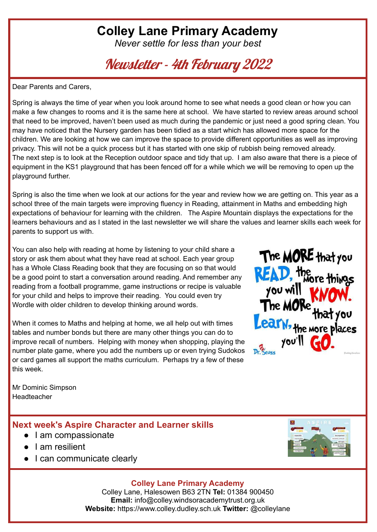# **Colley Lane Primary Academy**

*Never settle for less than your best*

Newsletter - 4th February 2022

Dear Parents and Carers,

Spring is always the time of year when you look around home to see what needs a good clean or how you can make a few changes to rooms and it is the same here at school. We have started to review areas around school that need to be improved, haven't been used as much during the pandemic or just need a good spring clean. You may have noticed that the Nursery garden has been tidied as a start which has allowed more space for the children. We are looking at how we can improve the space to provide different opportunities as well as improving privacy. This will not be a quick process but it has started with one skip of rubbish being removed already. The next step is to look at the Reception outdoor space and tidy that up. I am also aware that there is a piece of equipment in the KS1 playground that has been fenced off for a while which we will be removing to open up the playground further.

Spring is also the time when we look at our actions for the year and review how we are getting on. This year as a school three of the main targets were improving fluency in Reading, attainment in Maths and embedding high expectations of behaviour for learning with the children. The Aspire Mountain displays the expectations for the learners behaviours and as I stated in the last newsletter we will share the values and learner skills each week for parents to support us with.

You can also help with reading at home by listening to your child share a story or ask them about what they have read at school. Each year group has a Whole Class Reading book that they are focusing on so that would be a good point to start a conversation around reading. And remember any reading from a football programme, game instructions or recipe is valuable for your child and helps to improve their reading. You could even try Wordle with older children to develop thinking around words.

When it comes to Maths and helping at home, we all help out with times tables and number bonds but there are many other things you can do to improve recall of numbers. Helping with money when shopping, playing the number plate game, where you add the numbers up or even trying Sudokos or card games all support the maths curriculum. Perhaps try a few of these this week.



Mr Dominic Simpson Headteacher

### **Next week's Aspire Character and Learner skills**

- I am compassionate
- I am resilient
- I can communicate clearly



### **Colley Lane Primary Academy**

Colley Lane, Halesowen B63 2TN **Tel:** 01384 900450 **Email:** info@colley.windsoracademytrust.org.uk **Website:** https://www.colley.dudley.sch.uk **Twitter:** @colleylane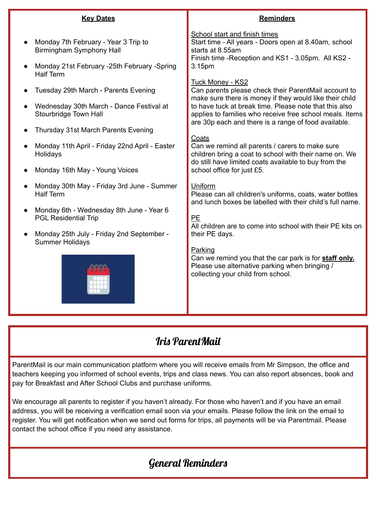| <b>Key Dates</b>                                                                                                                          | <b>Reminders</b>                                                                                                                                                                                                                                                                                                         |
|-------------------------------------------------------------------------------------------------------------------------------------------|--------------------------------------------------------------------------------------------------------------------------------------------------------------------------------------------------------------------------------------------------------------------------------------------------------------------------|
| Monday 7th February - Year 3 Trip to<br>Birmingham Symphony Hall<br>Monday 21st February -25th February -Spring<br><b>Half Term</b>       | School start and finish times<br>Start time - All years - Doors open at 8.40am, school<br>starts at 8.55am<br>Finish time - Reception and KS1 - 3.05pm. All KS2 -<br>3.15pm                                                                                                                                              |
| Tuesday 29th March - Parents Evening<br>Wednesday 30th March - Dance Festival at<br>Stourbridge Town Hall                                 | <b>Tuck Money - KS2</b><br>Can parents please check their ParentMail account to<br>make sure there is money if they would like their child<br>to have tuck at break time. Please note that this also<br>applies to families who receive free school meals. Items<br>are 30p each and there is a range of food available. |
| Thursday 31st March Parents Evening<br>Monday 11th April - Friday 22nd April - Easter<br>Holidays<br>Monday 16th May - Young Voices       | Coats<br>Can we remind all parents / carers to make sure<br>children bring a coat to school with their name on. We<br>do still have limited coats available to buy from the<br>school office for just £5.                                                                                                                |
| Monday 30th May - Friday 3rd June - Summer<br><b>Half Term</b><br>Monday 6th - Wednesday 8th June - Year 6<br><b>PGL Residential Trip</b> | Uniform<br>Please can all children's uniforms, coats, water bottles<br>and lunch boxes be labelled with their child's full name.<br>PE<br>All children are to come into school with their PE kits on                                                                                                                     |
| Monday 25th July - Friday 2nd September -<br><b>Summer Holidays</b>                                                                       | their PE days.<br>Parking<br>Can we remind you that the car park is for staff only.<br>Please use alternative parking when bringing /<br>collecting your child from school.                                                                                                                                              |

### Iris ParentMail

ParentMail is our main communication platform where you will receive emails from Mr Simpson, the office and teachers keeping you informed of school events, trips and class news. You can also report absences, book and pay for Breakfast and After School Clubs and purchase uniforms.

We encourage all parents to register if you haven't already. For those who haven't and if you have an email address, you will be receiving a verification email soon via your emails. Please follow the link on the email to register. You will get notification when we send out forms for trips, all payments will be via Parentmail. Please contact the school office if you need any assistance.

# General Reminders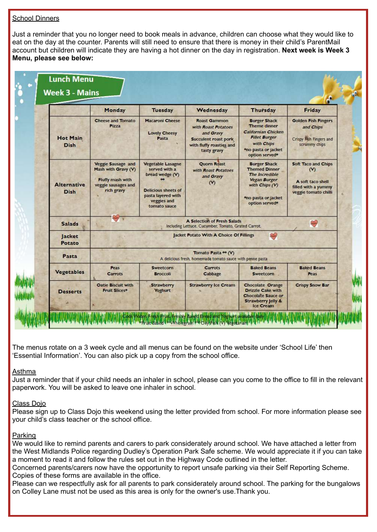### School Dinners

Just a reminder that you no longer need to book meals in advance, children can choose what they would like to eat on the day at the counter. Parents will still need to ensure that there is money in their child's ParentMail account but children will indicate they are having a hot dinner on the day in registration. **Next week is Week 3 Menu, please see below:**

|                                   | Monday                                                                                             | <b>Tuesday</b>                                                                                                                                  | Wednesday                                                                                                                         | <b>Thursday</b>                                                                                                                                                         | Friday                                                                                           |  |  |
|-----------------------------------|----------------------------------------------------------------------------------------------------|-------------------------------------------------------------------------------------------------------------------------------------------------|-----------------------------------------------------------------------------------------------------------------------------------|-------------------------------------------------------------------------------------------------------------------------------------------------------------------------|--------------------------------------------------------------------------------------------------|--|--|
| <b>Hot Main</b><br><b>Dish</b>    | <b>Cheese and Tomato</b><br><b>Pizza</b>                                                           | <b>Macaroni Cheese</b><br><b>Lovely Cheesy</b><br>Pasta                                                                                         | <b>Roast Gammon</b><br>with Roast Potatoes<br>and Gravy<br><b>Succulent roast pork</b><br>with fluffy roasties and<br>tasty gravy | <b>Burger Shack</b><br>Theme dinner<br>Californian Chicken<br><b>Fillet Burger</b><br>with Chips<br>*no pasta or jacket<br>option served <sup>*</sup>                   | <b>Golden Fish Fingers</b><br>and Chips<br>Crispy Fish Fingers and<br>scrummy chips              |  |  |
| <b>Alternative</b><br><b>Dish</b> | Veggie Sausage and<br>Mash with Gravy (V)<br>Fluffy mash with<br>veggie sausages and<br>rich gravy | <b>Vegetable Lasagne</b><br>served with a<br>bread wedge (V)<br><b>Delicious sheets of</b><br>pasta layered with<br>veggies and<br>tomato sauce | <b>Quorn Roast</b><br>with Roast Potatoes<br>and Gravy<br>$(\mathsf{V})$                                                          | <b>Burger Shack</b><br><b>Themed Dinner</b><br>The Incredible<br><b>Vegan Burger</b><br>with Chips (V)<br><sup>e</sup> no pasta or jacket<br>option served <sup>®</sup> | Soft Taco and Chips<br>$(v)$<br>A soft taco shell<br>filled with a yummy<br>veggie tomato chilli |  |  |
| <b>Salads</b>                     | A Selection of Fresh Salads<br>₩<br>Including Lettuce, Cucumber, Tomato, Grated Carrot.            |                                                                                                                                                 |                                                                                                                                   |                                                                                                                                                                         |                                                                                                  |  |  |
| Jacket<br>Potato                  | ₩<br>Jacket Potato With A Choice Of Fillings                                                       |                                                                                                                                                 |                                                                                                                                   |                                                                                                                                                                         |                                                                                                  |  |  |
| Pasta                             | Tomato Pasta ** (V)<br>A delicious fresh, homemade tomato sauce with penne pasta                   |                                                                                                                                                 |                                                                                                                                   |                                                                                                                                                                         |                                                                                                  |  |  |
| <b>Vegetables</b>                 | Peas<br><b>Carrots</b>                                                                             | <b>Sweetcorn</b><br><b>Broccoli</b>                                                                                                             | <b>Carrots</b><br>Cabbage                                                                                                         | <b>Baked Beans</b><br>Sweetcorn                                                                                                                                         | <b>Baked Beans</b><br>Peas                                                                       |  |  |
| <b>Desserts</b>                   | <b>Oatie Biscuit with</b><br><b>Fruit Slices*</b>                                                  | <b>Strawberry</b><br><b>Yoghurt</b>                                                                                                             | <b>Strawberry Ice Cream</b>                                                                                                       | Chocolate Orange<br><b>Drizzle Cake with</b><br><b>Chocolate Sauce or</b><br><b>Strawberry Jelly &amp;</b>                                                              | <b>Crispy Snow Bar</b>                                                                           |  |  |

The menus rotate on a 3 week cycle and all menus can be found on the website under 'School Life' then 'Essential Information'. You can also pick up a copy from the school office.

#### Asthma

Just a reminder that if your child needs an inhaler in school, please can you come to the office to fill in the relevant paperwork. You will be asked to leave one inhaler in school.

#### Class Dojo

Please sign up to Class Dojo this weekend using the letter provided from school. For more information please see your child's class teacher or the school office.

#### Parking

We would like to remind parents and carers to park considerately around school. We have attached a letter from the West Midlands Police regarding Dudley's Operation Park Safe scheme. We would appreciate it if you can take a moment to read it and follow the rules set out in the Highway Code outlined in the letter.

Concerned parents/carers now have the opportunity to report unsafe parking via their Self Reporting Scheme. Copies of these forms are available in the office.

Please can we respectfully ask for all parents to park considerately around school. The parking for the bungalows on Colley Lane must not be used as this area is only for the owner's use.Thank you.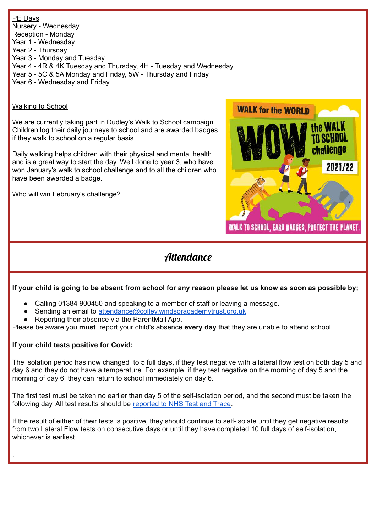PE Days Nursery - Wednesday Reception - Monday Year 1 - Wednesday Year 2 - Thursday Year 3 - Monday and Tuesday Year 4 - 4R & 4K Tuesday and Thursday, 4H - Tuesday and Wednesday Year 5 - 5C & 5A Monday and Friday, 5W - Thursday and Friday Year 6 - Wednesday and Friday

### Walking to School

We are currently taking part in Dudley's Walk to School campaign. Children log their daily journeys to school and are awarded badges if they walk to school on a regular basis.

Daily walking helps children with their physical and mental health and is a great way to start the day. Well done to year 3, who have won January's walk to school challenge and to all the children who have been awarded a badge.

Who will win February's challenge?



### **Attendance**

### If your child is going to be absent from school for any reason please let us know as soon as possible by;

- Calling 01384 900450 and speaking to a member of staff or leaving a message.
- Sending an email to [attendance@colley.windsoracademytrust.org.uk](mailto:attendance@colley.windsoracademytrust.org.uk)
- Reporting their absence via the ParentMail App.

Please be aware you **must** report your child's absence **every day** that they are unable to attend school.

### **If your child tests positive for Covid:**

.

The isolation period has now changed to 5 full days, if they test negative with a lateral flow test on both day 5 and day 6 and they do not have a temperature. For example, if they test negative on the morning of day 5 and the morning of day 6, they can return to school immediately on day 6.

The first test must be taken no earlier than day 5 of the self-isolation period, and the second must be taken the following day. All test results should be [reported](https://www.gov.uk/report-covid19-result?utm_source=14%20January%202022%20C19&utm_medium=Daily%20Email%20C19&utm_campaign=DfE%20C19) to NHS Test and Trace.

If the result of either of their tests is positive, they should continue to self-isolate until they get negative results from two Lateral Flow tests on consecutive days or until they have completed 10 full days of self-isolation, whichever is earliest.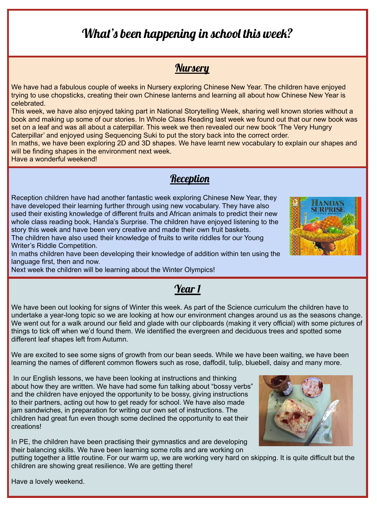# What's been happening in school this week?

### **Nursery**

We have had a fabulous couple of weeks in Nursery exploring Chinese New Year. The children have enjoyed trying to use chopsticks, creating their own Chinese lanterns and learning all about how Chinese New Year is celebrated.

This week, we have also enjoyed taking part in National Storytelling Week, sharing well known stories without a book and making up some of our stories. In Whole Class Reading last week we found out that our new book was set on a leaf and was all about a caterpillar. This week we then revealed our new book 'The Very Hungry Caterpillar' and enjoyed using Sequencing Suki to put the story back into the correct order.

In maths, we have been exploring 2D and 3D shapes. We have learnt new vocabulary to explain our shapes and will be finding shapes in the environment next week.

Have a wonderful weekend!

### **Reception**

Reception children have had another fantastic week exploring Chinese New Year, they have developed their learning further through using new vocabulary. They have also used their existing knowledge of different fruits and African animals to predict their new whole class reading book, Handa's Surprise. The children have enjoyed listening to the story this week and have been very creative and made their own fruit baskets. The children have also used their knowledge of fruits to write riddles for our Young Writer's Riddle Competition.

In maths children have been developing their knowledge of addition within ten using the language first, then and now.

Next week the children will be learning about the Winter Olympics!

We have been out looking for signs of Winter this week. As part of the Science curriculum the children have to undertake a year-long topic so we are looking at how our environment changes around us as the seasons change. We went out for a walk around our field and glade with our clipboards (making it very official) with some pictures of things to tick off when we'd found them. We identified the evergreen and deciduous trees and spotted some different leaf shapes left from Autumn.

Year 1

We are excited to see some signs of growth from our bean seeds. While we have been waiting, we have been learning the names of different common flowers such as rose, daffodil, tulip, bluebell, daisy and many more.

In our English lessons, we have been looking at instructions and thinking about how they are written. We have had some fun talking about "bossy verbs" and the children have enjoyed the opportunity to be bossy, giving instructions to their partners, acting out how to get ready for school. We have also made jam sandwiches, in preparation for writing our own set of instructions. The children had great fun even though some declined the opportunity to eat their creations!

In PE, the children have been practising their gymnastics and are developing their balancing skills. We have been learning some rolls and are working on

putting together a little routine. For our warm up, we are working very hard on skipping. It is quite difficult but the children are showing great resilience. We are getting there!

Have a lovely weekend.

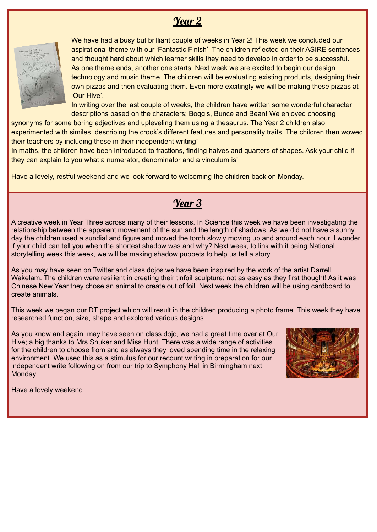## Year 2



We have had a busy but brilliant couple of weeks in Year 2! This week we concluded our aspirational theme with our 'Fantastic Finish'. The children reflected on their ASIRE sentences and thought hard about which learner skills they need to develop in order to be successful. As one theme ends, another one starts. Next week we are excited to begin our design technology and music theme. The children will be evaluating existing products, designing their own pizzas and then evaluating them. Even more excitingly we will be making these pizzas at 'Our Hive'.

In writing over the last couple of weeks, the children have written some wonderful character descriptions based on the characters; Boggis, Bunce and Bean! We enjoyed choosing

synonyms for some boring adjectives and upleveling them using a thesaurus. The Year 2 children also experimented with similes, describing the crook's different features and personality traits. The children then wowed their teachers by including these in their independent writing!

In maths, the children have been introduced to fractions, finding halves and quarters of shapes. Ask your child if they can explain to you what a numerator, denominator and a vinculum is!

Have a lovely, restful weekend and we look forward to welcoming the children back on Monday.

### Year 3

A creative week in Year Three across many of their lessons. In Science this week we have been investigating the relationship between the apparent movement of the sun and the length of shadows. As we did not have a sunny day the children used a sundial and figure and moved the torch slowly moving up and around each hour. I wonder if your child can tell you when the shortest shadow was and why? Next week, to link with it being National storytelling week this week, we will be making shadow puppets to help us tell a story.

As you may have seen on Twitter and class dojos we have been inspired by the work of the artist Darrell Wakelam. The children were resilient in creating their tinfoil sculpture; not as easy as they first thought! As it was Chinese New Year they chose an animal to create out of foil. Next week the children will be using cardboard to create animals.

This week we began our DT project which will result in the children producing a photo frame. This week they have researched function, size, shape and explored various designs.

As you know and again, may have seen on class dojo, we had a great time over at Our Hive; a big thanks to Mrs Shuker and Miss Hunt. There was a wide range of activities for the children to choose from and as always they loved spending time in the relaxing environment. We used this as a stimulus for our recount writing in preparation for our independent write following on from our trip to Symphony Hall in Birmingham next Monday.



Have a lovely weekend.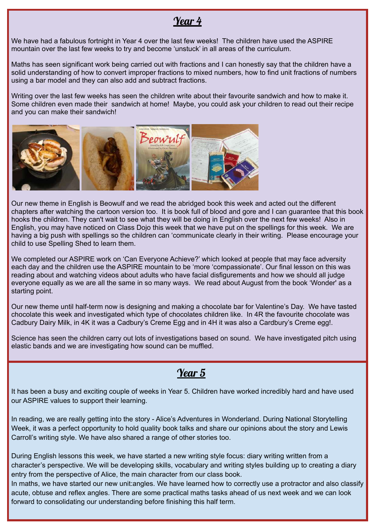### Year 4

We have had a fabulous fortnight in Year 4 over the last few weeks! The children have used the ASPIRE mountain over the last few weeks to try and become 'unstuck' in all areas of the curriculum.

Maths has seen significant work being carried out with fractions and I can honestly say that the children have a solid understanding of how to convert improper fractions to mixed numbers, how to find unit fractions of numbers using a bar model and they can also add and subtract fractions.

Writing over the last few weeks has seen the children write about their favourite sandwich and how to make it. Some children even made their sandwich at home! Maybe, you could ask your children to read out their recipe and you can make their sandwich!



Our new theme in English is Beowulf and we read the abridged book this week and acted out the different chapters after watching the cartoon version too. It is book full of blood and gore and I can guarantee that this book hooks the children. They can't wait to see what they will be doing in English over the next few weeks! Also in English, you may have noticed on Class Dojo this week that we have put on the spellings for this week. We are having a big push with spellings so the children can 'communicate clearly in their writing. Please encourage your child to use Spelling Shed to learn them.

We completed our ASPIRE work on 'Can Everyone Achieve?' which looked at people that may face adversity each day and the children use the ASPIRE mountain to be 'more 'compassionate'. Our final lesson on this was reading about and watching videos about adults who have facial disfigurements and how we should all judge everyone equally as we are all the same in so many ways. We read about August from the book 'Wonder' as a starting point.

Our new theme until half-term now is designing and making a chocolate bar for Valentine's Day. We have tasted chocolate this week and investigated which type of chocolates children like. In 4R the favourite chocolate was Cadbury Dairy Milk, in 4K it was a Cadbury's Creme Egg and in 4H it was also a Cardbury's Creme egg!.

Science has seen the children carry out lots of investigations based on sound. We have investigated pitch using elastic bands and we are investigating how sound can be muffled.

### Year 5

It has been a busy and exciting couple of weeks in Year 5. Children have worked incredibly hard and have used our ASPIRE values to support their learning.

In reading, we are really getting into the story - Alice's Adventures in Wonderland. During National Storytelling Week, it was a perfect opportunity to hold quality book talks and share our opinions about the story and Lewis Carroll's writing style. We have also shared a range of other stories too.

During English lessons this week, we have started a new writing style focus: diary writing written from a character's perspective. We will be developing skills, vocabulary and writing styles building up to creating a diary entry from the perspective of Alice, the main character from our class book.

In maths, we have started our new unit: angles. We have learned how to correctly use a protractor and also classify acute, obtuse and reflex angles. There are some practical maths tasks ahead of us next week and we can look forward to consolidating our understanding before finishing this half term.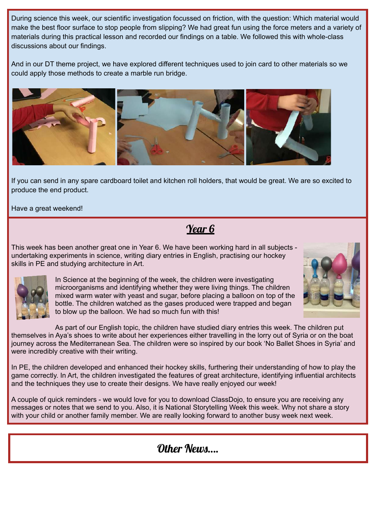During science this week, our scientific investigation focussed on friction, with the question: Which material would make the best floor surface to stop people from slipping? We had great fun using the force meters and a variety of materials during this practical lesson and recorded our findings on a table. We followed this with whole-class discussions about our findings.

And in our DT theme project, we have explored different techniques used to join card to other materials so we could apply those methods to create a marble run bridge.



If you can send in any spare cardboard toilet and kitchen roll holders, that would be great. We are so excited to produce the end product.

Have a great weekend!

Year 6

This week has been another great one in Year 6. We have been working hard in all subjects undertaking experiments in science, writing diary entries in English, practising our hockey skills in PE and studying architecture in Art.



In Science at the beginning of the week, the children were investigating microorganisms and identifying whether they were living things. The children mixed warm water with yeast and sugar, before placing a balloon on top of the bottle. The children watched as the gases produced were trapped and began to blow up the balloon. We had so much fun with this!

As part of our English topic, the children have studied diary entries this week. The children put themselves in Aya's shoes to write about her experiences either travelling in the lorry out of Syria or on the boat journey across the Mediterranean Sea. The children were so inspired by our book 'No Ballet Shoes in Syria' and were incredibly creative with their writing.

In PE, the children developed and enhanced their hockey skills, furthering their understanding of how to play the game correctly. In Art, the children investigated the features of great architecture, identifying influential architects and the techniques they use to create their designs. We have really enjoyed our week!

A couple of quick reminders - we would love for you to download ClassDojo, to ensure you are receiving any messages or notes that we send to you. Also, it is National Storytelling Week this week. Why not share a story with your child or another family member. We are really looking forward to another busy week next week.

Other News….

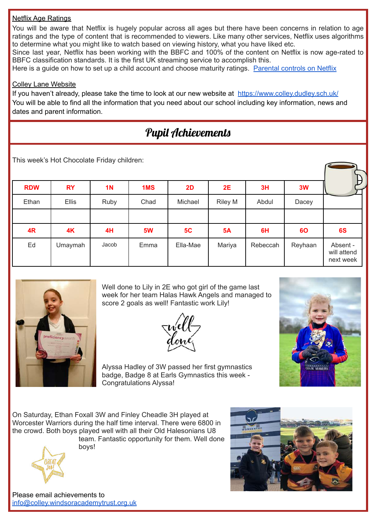### Netflix Age Ratings

You will be aware that Netflix is hugely popular across all ages but there have been concerns in relation to age ratings and the type of content that is recommended to viewers. Like many other services, Netflix uses algorithms to determine what you might like to watch based on viewing history, what you have liked etc.

Since last year, Netflix has been working with the BBFC and 100% of the content on Netflix is now age-rated to BBFC classification standards. It is the first UK streaming service to accomplish this.

Here is a quide on how to set up a child account and choose maturity ratings. [Parental](https://help.netflix.com/en/node/264) controls on Netflix

#### Colley Lane Website

If you haven't already, please take the time to look at our new website at <https://www.colley.dudley.sch.uk/> You will be able to find all the information that you need about our school including key information, news and dates and parent information.

# Pupil Achievements

This week's Hot Chocolate Friday children:

|            |              |                |      |          |                |          |         | B                                    |
|------------|--------------|----------------|------|----------|----------------|----------|---------|--------------------------------------|
| <b>RDW</b> | <b>RY</b>    | 1 <sub>N</sub> | 1MS  | 2D       | 2E             | 3H       | 3W      |                                      |
| Ethan      | <b>Ellis</b> | Ruby           | Chad | Michael  | <b>Riley M</b> | Abdul    | Dacey   |                                      |
|            |              |                |      |          |                |          |         |                                      |
| 4R         | 4K           | 4H             | 5W   | 5C       | <b>5A</b>      | 6H       | 60      | 6S                                   |
| Ed         | Umaymah      | Jacob          | Emma | Ella-Mae | Mariya         | Rebeccah | Reyhaan | Absent -<br>will attend<br>next week |



Well done to Lily in 2E who got girl of the game last week for her team Halas Hawk Angels and managed to score 2 goals as well! Fantastic work Lily!





Alyssa Hadley of 3W passed her first gymnastics badge, Badge 8 at Earls Gymnastics this week - Congratulations Alyssa!

On Saturday, Ethan Foxall 3W and Finley Cheadle 3H played at Worcester Warriors during the half time interval. There were 6800 in the crowd. Both boys played well with all their Old Halesonians U8 team. Fantastic opportunity for them. Well done

boys!



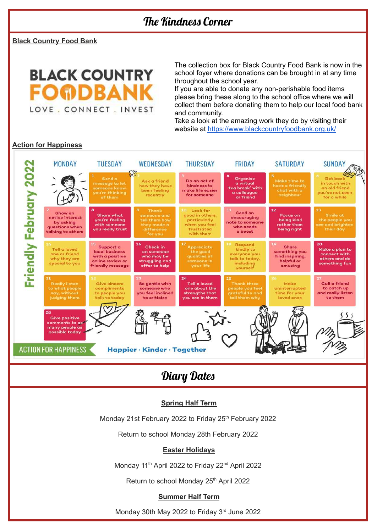**Black Country Food Bank**



The collection box for Black Country Food Bank is now in the school foyer where donations can be brought in at any time throughout the school year.

If you are able to donate any non-perishable food items please bring these along to the school office where we will collect them before donating them to help our local food bank and community.

Take a look at the amazing work they do by visiting their website at <https://www.blackcountryfoodbank.org.uk/>

### **Action for Happiness**

|                                                            | <b>MONDAY</b>                                                                    | <b>TUESDAY</b>                                                                          | WEDNESDAY                                                                          | <b>THURSDAY</b>                                                                                | <b>FRIDAY</b>                                                                          | <b>SATURDAY</b>                                                                 | <b>SUNDAY</b>                                                                       |  |
|------------------------------------------------------------|----------------------------------------------------------------------------------|-----------------------------------------------------------------------------------------|------------------------------------------------------------------------------------|------------------------------------------------------------------------------------------------|----------------------------------------------------------------------------------------|---------------------------------------------------------------------------------|-------------------------------------------------------------------------------------|--|
|                                                            |                                                                                  | Send a<br>message to let<br>someone know<br>you're thinking<br>of them                  | $\mathcal{S}^{\circ}$<br>Ask a friend<br>how they have<br>been feeling<br>recently | Do an act of<br>kindness to<br>make life easier<br>for someone                                 | Organise<br>a virtual<br>'tea break' with<br>a colleague<br>or friend                  | <b>Make time to</b><br>have a friendly<br>chat with a<br>neighbour              | <b>Get back</b><br>in touch with<br>an old friend<br>you've not seen<br>for a while |  |
| riendly February                                           | Show an<br>active interest<br>by asking<br>questions when<br>talking to others   | $\mathbf{a}$<br><b>Share what</b><br>you're feeling<br>with someone<br>you really trust | Thank<br>someone and<br>tell them how<br>they made a<br>difference<br>for you      | Look for<br>10.<br>good in others,<br>particularly<br>when you feel<br>frustrated<br>with them | 11<br>Send an<br>encouraging<br>note to someone<br>who needs<br>a boost                | 12<br>Focus on<br>being kind<br>rather than<br>being right                      | 13<br><b>Smile at</b><br>the people you<br>see and brighten<br>their day            |  |
|                                                            | Tell a loved<br>one or friend<br>why they are<br>special to you                  | Support a<br>local business<br>with a positive<br>online review or<br>friendly message  | 16<br>Check in<br>on someone<br>who may be<br>struggling and<br>offer to help      | Appreciate<br>the good<br>qualities of<br>someone in<br>your life                              | 18.<br>Respond<br>kindly to<br>everyone you<br>talk to today.<br>including<br>yourself | 19<br><b>Share</b><br>something you<br>find inspiring.<br>helpful or<br>amusing | 20<br>Make a plan to<br>connect with<br>others and do<br>something fun              |  |
| u.                                                         | 21<br><b>Really listen</b><br>to what people<br>say, without<br>judging them     | Give sincere<br>compliments<br>to people you<br>talk to today                           | Be gentle with<br>someone who<br>vou feel inclined<br>to criticise                 | 24<br><b>Tell a loved</b><br>one about the<br>strengths that<br>you see in them                | 25<br><b>Thank three</b><br>people you feel<br>grateful to and<br>tell them why        | 26 <sub>1</sub><br>Make<br>uninterrupted<br>time for your<br>loved ones         | 27<br><b>Call a friend</b><br>to catch up<br>and really listen<br>to them           |  |
|                                                            | 28<br><b>Give positive</b><br>comments to as<br>many people as<br>possible today |                                                                                         |                                                                                    |                                                                                                |                                                                                        |                                                                                 |                                                                                     |  |
| <b>ACTION FOR HAPPINESS</b><br>Happier · Kinder · Together |                                                                                  |                                                                                         |                                                                                    |                                                                                                |                                                                                        |                                                                                 |                                                                                     |  |

### Diary Dates

#### **Spring Half Term**

Monday 21st February 2022 to Friday 25<sup>th</sup> February 2022

Return to school Monday 28th February 2022

#### **Easter Holidays**

Monday 11<sup>th</sup> April 2022 to Friday 22<sup>nd</sup> April 2022

Return to school Monday 25<sup>th</sup> April 2022

#### **Summer Half Term**

Monday 30th May 2022 to Friday 3<sup>rd</sup> June 2022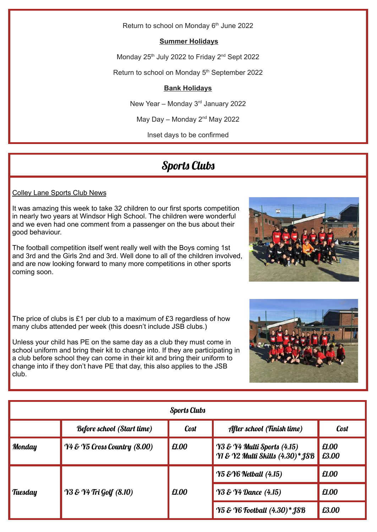Return to school on Monday 6<sup>th</sup> June 2022

### **Summer Holidays**

Monday 25<sup>th</sup> July 2022 to Friday 2<sup>nd</sup> Sept 2022

Return to school on Monday 5<sup>th</sup> September 2022

### **Bank Holidays**

New Year - Monday 3<sup>rd</sup> January 2022

May Day – Monday  $2<sup>nd</sup>$  May 2022

Inset days to be confirmed

### Sports Clubs

### Colley Lane Sports Club News

It was amazing this week to take 32 children to our first sports competition in nearly two years at Windsor High School. The children were wonderful and we even had one comment from a passenger on the bus about their good behaviour.

The football competition itself went really well with the Boys coming 1st and 3rd and the Girls 2nd and 3rd. Well done to all of the children involved, and are now looking forward to many more competitions in other sports coming soon.

The price of clubs is £1 per club to a maximum of £3 regardless of how many clubs attended per week (this doesn't include JSB clubs.)

Unless your child has PE on the same day as a club they must come in school uniform and bring their kit to change into. If they are participating in a club before school they can come in their kit and bring their uniform to change into if they don't have PE that day, this also applies to the JSB club.

| <b>Sports Clubs</b> |                                      |             |                                                                 |                |  |  |  |
|---------------------|--------------------------------------|-------------|-----------------------------------------------------------------|----------------|--|--|--|
|                     | <b>Before school (Start time)</b>    | <b>Cost</b> | After school (Finish time)                                      | Cost           |  |  |  |
| <b>Monday</b>       | $\gamma$ 4 & Y5 Cross Country (8.00) | £1.00       | Y3 & Y4 Multi Sports (4.15)<br>Y1 & Y2 Multi Skills (4.30)* JSB | £1.00<br>£3.00 |  |  |  |
|                     | <b>Y3 &amp; Y4 Tri Golf (8.10)</b>   | £1.00       | $\gamma$ 5 & $\gamma$ 6 Netball (4.15)                          | £1.00          |  |  |  |
| Tuesday             |                                      |             | <b>Y3 &amp; Y4 Dance (4.15)</b>                                 | £1.00          |  |  |  |
|                     |                                      |             | <b>Y5 &amp; Y6 Football (4.30)* JSB</b>                         | £3.00          |  |  |  |



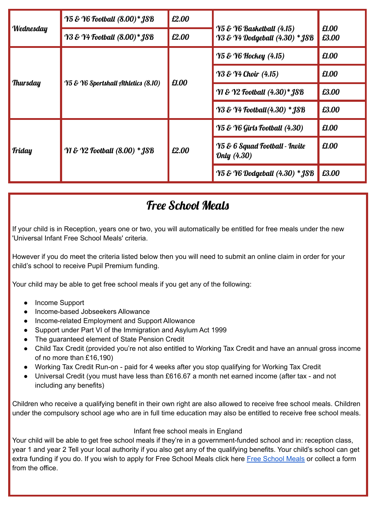|                 | Y5 & Y6 Football (8.00)* JSB             | £2.00 |                                                                        |                |
|-----------------|------------------------------------------|-------|------------------------------------------------------------------------|----------------|
| Wednesday       | <b>Y3 &amp; Y4 Football (8.00)* JSB</b>  | £2.00 | <b>Y5 &amp; Y6 Basketball (4.15)</b><br>Y3 & Y4 Dodgeball (4.30) * JSB | £1.00<br>£3.00 |
|                 |                                          | £1.00 | <b>Y5 &amp; Y6 Hockey</b> (4.15)                                       | £1.00          |
|                 | Y5 & Y6 Sportshall Athletics (8.10)      |       | $\gamma_3 \& \gamma_4$ Choir (4.15)                                    | £1.00          |
| <b>Thursday</b> |                                          |       | <b>Y1 &amp; Y2 Football (4.30)* JSB</b>                                | £3.00          |
|                 |                                          |       | <b>Y3 &amp; Y4 Football (4.30) * JSB</b>                               | £3.00          |
|                 | <b>YI &amp; Y2 Football (8.00) * JSB</b> | £2.00 | $\gamma$ 5 & $\gamma$ 6 Girls Football (4.30)                          | £1.00          |
| <b>Friday</b>   |                                          |       | <b>Y5 &amp; 6 Squad Football - Invite</b><br>Only (4.30)               | £1.00          |
|                 |                                          |       | <b>Y5 &amp; Y6 Dodgeball (4.30) * JSB</b>                              | £3.00          |

# Free School Meals

If your child is in Reception, years one or two, you will automatically be entitled for free meals under the new 'Universal Infant Free School Meals' criteria.

However if you do meet the criteria listed below then you will need to submit an online claim in order for your child's school to receive Pupil Premium funding.

Your child may be able to get free school meals if you get any of the following:

- Income Support
- Income-based Jobseekers Allowance
- Income-related Employment and Support Allowance
- Support under Part VI of the Immigration and Asylum Act 1999
- The guaranteed element of State Pension Credit
- Child Tax Credit (provided you're not also entitled to Working Tax Credit and have an annual gross income of no more than £16,190)
- Working Tax Credit Run-on paid for 4 weeks after you stop qualifying for Working Tax Credit
- Universal Credit (you must have less than £616.67 a month net earned income (after tax and not including any benefits)

Children who receive a qualifying benefit in their own right are also allowed to receive free school meals. Children under the compulsory school age who are in full time education may also be entitled to receive free school meals.

### Infant free school meals in England

Your child will be able to get free school meals if they're in a government-funded school and in: reception class, year 1 and year 2 Tell your local authority if you also get any of the qualifying benefits. Your child's school can get extra funding if you do. If you wish to apply for Free [School](https://www.dudley.gov.uk/resident/your-council/council-tax-and-benefits/benefits/free-school-meals) Meals click here Free School Meals or collect a form from the office.